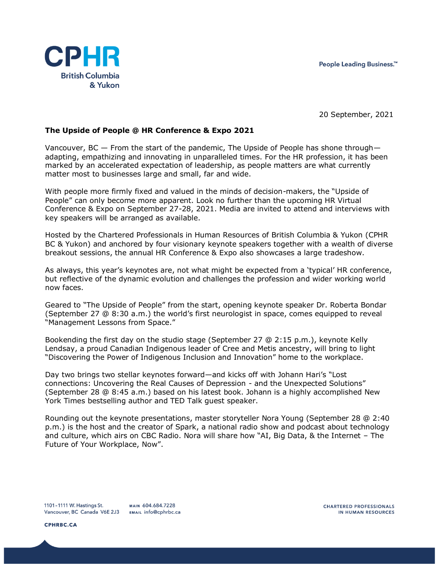People Leading Business.<sup>™</sup>



20 September, 2021

## **The Upside of People @ HR Conference & Expo 2021**

Vancouver, BC — From the start of the pandemic, The Upside of People has shone through adapting, empathizing and innovating in unparalleled times. For the HR profession, it has been marked by an accelerated expectation of leadership, as people matters are what currently matter most to businesses large and small, far and wide.

With people more firmly fixed and valued in the minds of decision-makers, the "Upside of People" can only become more apparent. Look no further than the upcoming HR Virtual Conference & Expo on September 27-28, 2021. Media are invited to attend and interviews with key speakers will be arranged as available.

Hosted by the Chartered Professionals in Human Resources of British Columbia & Yukon (CPHR BC & Yukon) and anchored by four visionary keynote speakers together with a wealth of diverse breakout sessions, the annual HR Conference & Expo also showcases a large tradeshow.

As always, this year's keynotes are, not what might be expected from a 'typical' HR conference, but reflective of the dynamic evolution and challenges the profession and wider working world now faces.

Geared to "The Upside of People" from the start, opening keynote speaker Dr. Roberta Bondar (September 27 @ 8:30 a.m.) the world's first neurologist in space, comes equipped to reveal "Management Lessons from Space."

Bookending the first day on the studio stage (September 27 @ 2:15 p.m.), keynote Kelly Lendsay, a proud Canadian Indigenous leader of Cree and Metis ancestry, will bring to light "Discovering the Power of Indigenous Inclusion and Innovation" home to the workplace.

Day two brings two stellar keynotes forward—and kicks off with Johann Hari's "Lost connections: Uncovering the Real Causes of Depression - and the Unexpected Solutions" (September 28 @ 8:45 a.m.) based on his latest book. Johann is a highly accomplished New York Times bestselling author and TED Talk guest speaker.

Rounding out the keynote presentations, master storyteller Nora Young (September 28 @ 2:40 p.m.) is the host and the creator of Spark, a national radio show and podcast about technology and culture, which airs on CBC Radio. Nora will share how "AI, Big Data, & the Internet – The Future of Your Workplace, Now".

MAIN 604.684.7228

**CPHRBC.CA**